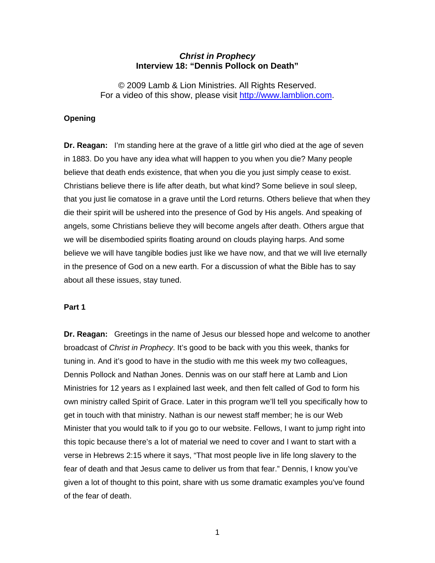## *Christ in Prophecy*  **Interview 18: "Dennis Pollock on Death"**

© 2009 Lamb & Lion Ministries. All Rights Reserved. For a video of this show, please visit [http://www.lamblion.com](http://www.lamblion.com/).

#### **Opening**

**Dr. Reagan:** I'm standing here at the grave of a little girl who died at the age of seven in 1883. Do you have any idea what will happen to you when you die? Many people believe that death ends existence, that when you die you just simply cease to exist. Christians believe there is life after death, but what kind? Some believe in soul sleep, that you just lie comatose in a grave until the Lord returns. Others believe that when they die their spirit will be ushered into the presence of God by His angels. And speaking of angels, some Christians believe they will become angels after death. Others argue that we will be disembodied spirits floating around on clouds playing harps. And some believe we will have tangible bodies just like we have now, and that we will live eternally in the presence of God on a new earth. For a discussion of what the Bible has to say about all these issues, stay tuned.

#### **Part 1**

**Dr. Reagan:** Greetings in the name of Jesus our blessed hope and welcome to another broadcast of *Christ in Prophecy*. It's good to be back with you this week, thanks for tuning in. And it's good to have in the studio with me this week my two colleagues, Dennis Pollock and Nathan Jones. Dennis was on our staff here at Lamb and Lion Ministries for 12 years as I explained last week, and then felt called of God to form his own ministry called Spirit of Grace. Later in this program we'll tell you specifically how to get in touch with that ministry. Nathan is our newest staff member; he is our Web Minister that you would talk to if you go to our website. Fellows, I want to jump right into this topic because there's a lot of material we need to cover and I want to start with a verse in Hebrews 2:15 where it says, "That most people live in life long slavery to the fear of death and that Jesus came to deliver us from that fear." Dennis, I know you've given a lot of thought to this point, share with us some dramatic examples you've found of the fear of death.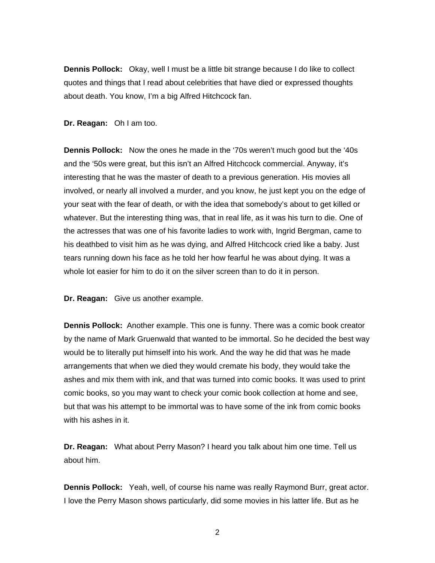**Dennis Pollock:** Okay, well I must be a little bit strange because I do like to collect quotes and things that I read about celebrities that have died or expressed thoughts about death. You know, I'm a big Alfred Hitchcock fan.

**Dr. Reagan:** Oh I am too.

**Dennis Pollock:** Now the ones he made in the '70s weren't much good but the '40s and the '50s were great, but this isn't an Alfred Hitchcock commercial. Anyway, it's interesting that he was the master of death to a previous generation. His movies all involved, or nearly all involved a murder, and you know, he just kept you on the edge of your seat with the fear of death, or with the idea that somebody's about to get killed or whatever. But the interesting thing was, that in real life, as it was his turn to die. One of the actresses that was one of his favorite ladies to work with, Ingrid Bergman, came to his deathbed to visit him as he was dying, and Alfred Hitchcock cried like a baby. Just tears running down his face as he told her how fearful he was about dying. It was a whole lot easier for him to do it on the silver screen than to do it in person.

**Dr. Reagan:** Give us another example.

**Dennis Pollock:** Another example. This one is funny. There was a comic book creator by the name of Mark Gruenwald that wanted to be immortal. So he decided the best way would be to literally put himself into his work. And the way he did that was he made arrangements that when we died they would cremate his body, they would take the ashes and mix them with ink, and that was turned into comic books. It was used to print comic books, so you may want to check your comic book collection at home and see, but that was his attempt to be immortal was to have some of the ink from comic books with his ashes in it.

**Dr. Reagan:** What about Perry Mason? I heard you talk about him one time. Tell us about him.

**Dennis Pollock:** Yeah, well, of course his name was really Raymond Burr, great actor. I love the Perry Mason shows particularly, did some movies in his latter life. But as he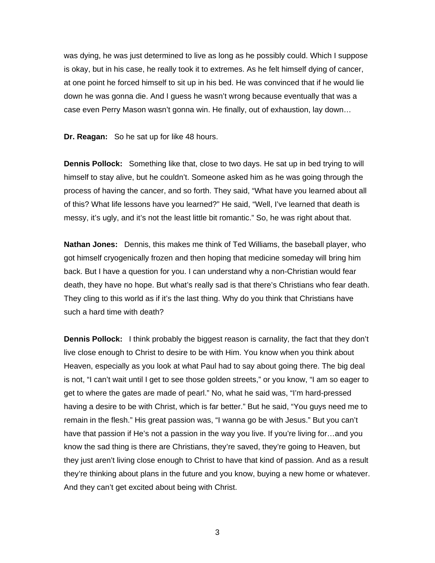was dying, he was just determined to live as long as he possibly could. Which I suppose is okay, but in his case, he really took it to extremes. As he felt himself dying of cancer, at one point he forced himself to sit up in his bed. He was convinced that if he would lie down he was gonna die. And I guess he wasn't wrong because eventually that was a case even Perry Mason wasn't gonna win. He finally, out of exhaustion, lay down…

**Dr. Reagan:** So he sat up for like 48 hours.

**Dennis Pollock:** Something like that, close to two days. He sat up in bed trying to will himself to stay alive, but he couldn't. Someone asked him as he was going through the process of having the cancer, and so forth. They said, "What have you learned about all of this? What life lessons have you learned?" He said, "Well, I've learned that death is messy, it's ugly, and it's not the least little bit romantic." So, he was right about that.

**Nathan Jones:** Dennis, this makes me think of Ted Williams, the baseball player, who got himself cryogenically frozen and then hoping that medicine someday will bring him back. But I have a question for you. I can understand why a non-Christian would fear death, they have no hope. But what's really sad is that there's Christians who fear death. They cling to this world as if it's the last thing. Why do you think that Christians have such a hard time with death?

**Dennis Pollock:** I think probably the biggest reason is carnality, the fact that they don't live close enough to Christ to desire to be with Him. You know when you think about Heaven, especially as you look at what Paul had to say about going there. The big deal is not, "I can't wait until I get to see those golden streets," or you know, "I am so eager to get to where the gates are made of pearl." No, what he said was, "I'm hard-pressed having a desire to be with Christ, which is far better." But he said, "You guys need me to remain in the flesh." His great passion was, "I wanna go be with Jesus." But you can't have that passion if He's not a passion in the way you live. If you're living for...and you know the sad thing is there are Christians, they're saved, they're going to Heaven, but they just aren't living close enough to Christ to have that kind of passion. And as a result they're thinking about plans in the future and you know, buying a new home or whatever. And they can't get excited about being with Christ.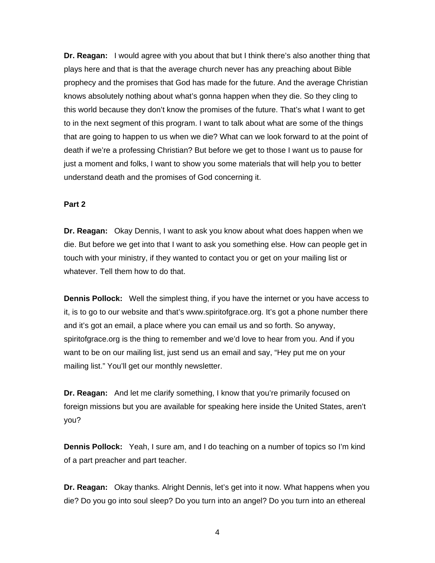**Dr. Reagan:** I would agree with you about that but I think there's also another thing that plays here and that is that the average church never has any preaching about Bible prophecy and the promises that God has made for the future. And the average Christian knows absolutely nothing about what's gonna happen when they die. So they cling to this world because they don't know the promises of the future. That's what I want to get to in the next segment of this program. I want to talk about what are some of the things that are going to happen to us when we die? What can we look forward to at the point of death if we're a professing Christian? But before we get to those I want us to pause for just a moment and folks, I want to show you some materials that will help you to better understand death and the promises of God concerning it.

### **Part 2**

**Dr. Reagan:** Okay Dennis, I want to ask you know about what does happen when we die. But before we get into that I want to ask you something else. How can people get in touch with your ministry, if they wanted to contact you or get on your mailing list or whatever. Tell them how to do that.

**Dennis Pollock:** Well the simplest thing, if you have the internet or you have access to it, is to go to our website and that's www.spiritofgrace.org. It's got a phone number there and it's got an email, a place where you can email us and so forth. So anyway, spiritofgrace.org is the thing to remember and we'd love to hear from you. And if you want to be on our mailing list, just send us an email and say, "Hey put me on your mailing list." You'll get our monthly newsletter.

**Dr. Reagan:** And let me clarify something, I know that you're primarily focused on foreign missions but you are available for speaking here inside the United States, aren't you?

**Dennis Pollock:** Yeah, I sure am, and I do teaching on a number of topics so I'm kind of a part preacher and part teacher.

**Dr. Reagan:** Okay thanks. Alright Dennis, let's get into it now. What happens when you die? Do you go into soul sleep? Do you turn into an angel? Do you turn into an ethereal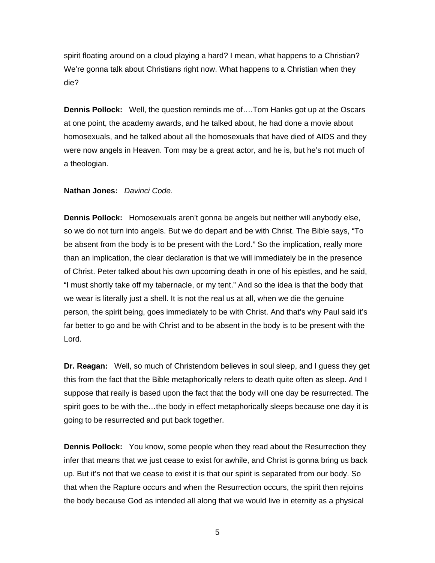spirit floating around on a cloud playing a hard? I mean, what happens to a Christian? We're gonna talk about Christians right now. What happens to a Christian when they die?

**Dennis Pollock:** Well, the question reminds me of….Tom Hanks got up at the Oscars at one point, the academy awards, and he talked about, he had done a movie about homosexuals, and he talked about all the homosexuals that have died of AIDS and they were now angels in Heaven. Tom may be a great actor, and he is, but he's not much of a theologian.

#### **Nathan Jones:** *Davinci Code*.

**Dennis Pollock:** Homosexuals aren't gonna be angels but neither will anybody else, so we do not turn into angels. But we do depart and be with Christ. The Bible says, "To be absent from the body is to be present with the Lord." So the implication, really more than an implication, the clear declaration is that we will immediately be in the presence of Christ. Peter talked about his own upcoming death in one of his epistles, and he said, "I must shortly take off my tabernacle, or my tent." And so the idea is that the body that we wear is literally just a shell. It is not the real us at all, when we die the genuine person, the spirit being, goes immediately to be with Christ. And that's why Paul said it's far better to go and be with Christ and to be absent in the body is to be present with the Lord.

**Dr. Reagan:** Well, so much of Christendom believes in soul sleep, and I guess they get this from the fact that the Bible metaphorically refers to death quite often as sleep. And I suppose that really is based upon the fact that the body will one day be resurrected. The spirit goes to be with the...the body in effect metaphorically sleeps because one day it is going to be resurrected and put back together.

**Dennis Pollock:** You know, some people when they read about the Resurrection they infer that means that we just cease to exist for awhile, and Christ is gonna bring us back up. But it's not that we cease to exist it is that our spirit is separated from our body. So that when the Rapture occurs and when the Resurrection occurs, the spirit then rejoins the body because God as intended all along that we would live in eternity as a physical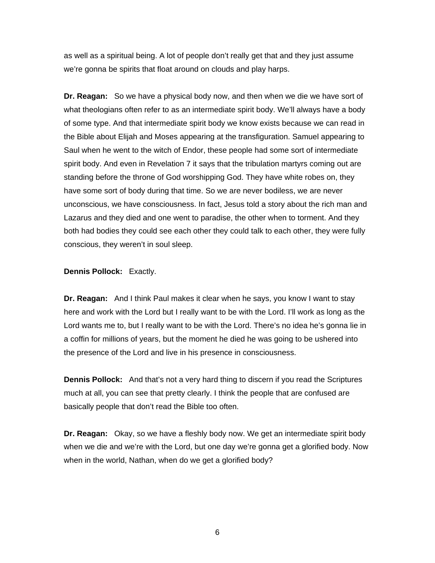as well as a spiritual being. A lot of people don't really get that and they just assume we're gonna be spirits that float around on clouds and play harps.

**Dr. Reagan:** So we have a physical body now, and then when we die we have sort of what theologians often refer to as an intermediate spirit body. We'll always have a body of some type. And that intermediate spirit body we know exists because we can read in the Bible about Elijah and Moses appearing at the transfiguration. Samuel appearing to Saul when he went to the witch of Endor, these people had some sort of intermediate spirit body. And even in Revelation 7 it says that the tribulation martyrs coming out are standing before the throne of God worshipping God. They have white robes on, they have some sort of body during that time. So we are never bodiless, we are never unconscious, we have consciousness. In fact, Jesus told a story about the rich man and Lazarus and they died and one went to paradise, the other when to torment. And they both had bodies they could see each other they could talk to each other, they were fully conscious, they weren't in soul sleep.

### **Dennis Pollock:** Exactly.

**Dr. Reagan:** And I think Paul makes it clear when he says, you know I want to stay here and work with the Lord but I really want to be with the Lord. I'll work as long as the Lord wants me to, but I really want to be with the Lord. There's no idea he's gonna lie in a coffin for millions of years, but the moment he died he was going to be ushered into the presence of the Lord and live in his presence in consciousness.

**Dennis Pollock:** And that's not a very hard thing to discern if you read the Scriptures much at all, you can see that pretty clearly. I think the people that are confused are basically people that don't read the Bible too often.

**Dr. Reagan:** Okay, so we have a fleshly body now. We get an intermediate spirit body when we die and we're with the Lord, but one day we're gonna get a glorified body. Now when in the world, Nathan, when do we get a glorified body?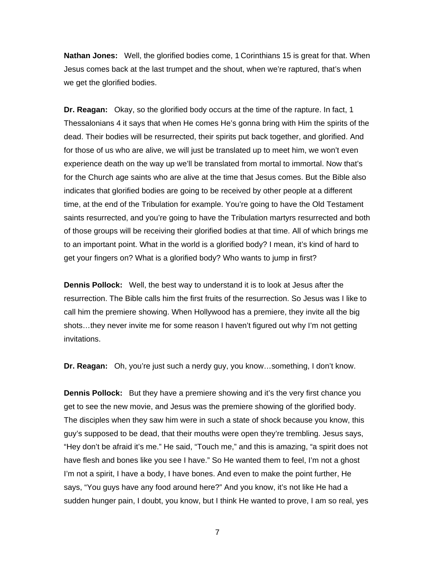**Nathan Jones:** Well, the glorified bodies come, 1 Corinthians 15 is great for that. When Jesus comes back at the last trumpet and the shout, when we're raptured, that's when we get the glorified bodies.

**Dr. Reagan:** Okay, so the glorified body occurs at the time of the rapture. In fact, 1 Thessalonians 4 it says that when He comes He's gonna bring with Him the spirits of the dead. Their bodies will be resurrected, their spirits put back together, and glorified. And for those of us who are alive, we will just be translated up to meet him, we won't even experience death on the way up we'll be translated from mortal to immortal. Now that's for the Church age saints who are alive at the time that Jesus comes. But the Bible also indicates that glorified bodies are going to be received by other people at a different time, at the end of the Tribulation for example. You're going to have the Old Testament saints resurrected, and you're going to have the Tribulation martyrs resurrected and both of those groups will be receiving their glorified bodies at that time. All of which brings me to an important point. What in the world is a glorified body? I mean, it's kind of hard to get your fingers on? What is a glorified body? Who wants to jump in first?

**Dennis Pollock:** Well, the best way to understand it is to look at Jesus after the resurrection. The Bible calls him the first fruits of the resurrection. So Jesus was I like to call him the premiere showing. When Hollywood has a premiere, they invite all the big shots…they never invite me for some reason I haven't figured out why I'm not getting invitations.

**Dr. Reagan:** Oh, you're just such a nerdy guy, you know…something, I don't know.

**Dennis Pollock:** But they have a premiere showing and it's the very first chance you get to see the new movie, and Jesus was the premiere showing of the glorified body. The disciples when they saw him were in such a state of shock because you know, this guy's supposed to be dead, that their mouths were open they're trembling. Jesus says, "Hey don't be afraid it's me." He said, "Touch me," and this is amazing, "a spirit does not have flesh and bones like you see I have." So He wanted them to feel, I'm not a ghost I'm not a spirit, I have a body, I have bones. And even to make the point further, He says, "You guys have any food around here?" And you know, it's not like He had a sudden hunger pain, I doubt, you know, but I think He wanted to prove, I am so real, yes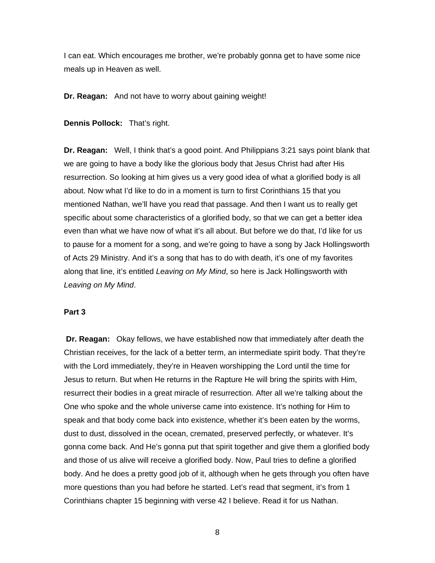I can eat. Which encourages me brother, we're probably gonna get to have some nice meals up in Heaven as well.

**Dr. Reagan:** And not have to worry about gaining weight!

**Dennis Pollock:** That's right.

**Dr. Reagan:** Well, I think that's a good point. And Philippians 3:21 says point blank that we are going to have a body like the glorious body that Jesus Christ had after His resurrection. So looking at him gives us a very good idea of what a glorified body is all about. Now what I'd like to do in a moment is turn to first Corinthians 15 that you mentioned Nathan, we'll have you read that passage. And then I want us to really get specific about some characteristics of a glorified body, so that we can get a better idea even than what we have now of what it's all about. But before we do that, I'd like for us to pause for a moment for a song, and we're going to have a song by Jack Hollingsworth of Acts 29 Ministry. And it's a song that has to do with death, it's one of my favorites along that line, it's entitled *Leaving on My Mind*, so here is Jack Hollingsworth with *Leaving on My Mind*.

#### **Part 3**

**Dr. Reagan:** Okay fellows, we have established now that immediately after death the Christian receives, for the lack of a better term, an intermediate spirit body. That they're with the Lord immediately, they're in Heaven worshipping the Lord until the time for Jesus to return. But when He returns in the Rapture He will bring the spirits with Him, resurrect their bodies in a great miracle of resurrection. After all we're talking about the One who spoke and the whole universe came into existence. It's nothing for Him to speak and that body come back into existence, whether it's been eaten by the worms, dust to dust, dissolved in the ocean, cremated, preserved perfectly, or whatever. It's gonna come back. And He's gonna put that spirit together and give them a glorified body and those of us alive will receive a glorified body. Now, Paul tries to define a glorified body. And he does a pretty good job of it, although when he gets through you often have more questions than you had before he started. Let's read that segment, it's from 1 Corinthians chapter 15 beginning with verse 42 I believe. Read it for us Nathan.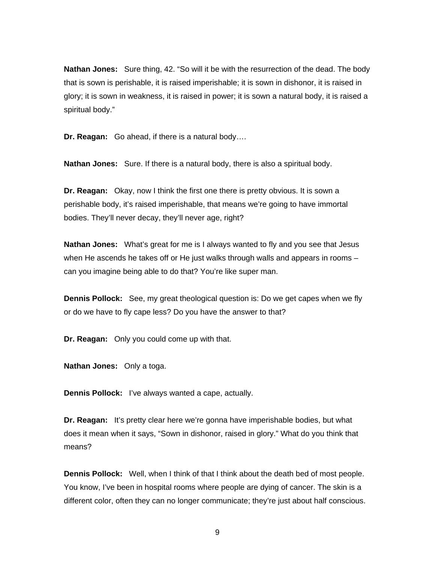**Nathan Jones:** Sure thing, 42. "So will it be with the resurrection of the dead. The body that is sown is perishable, it is raised imperishable; it is sown in dishonor, it is raised in glory; it is sown in weakness, it is raised in power; it is sown a natural body, it is raised a spiritual body."

**Dr. Reagan:** Go ahead, if there is a natural body….

**Nathan Jones:** Sure. If there is a natural body, there is also a spiritual body.

**Dr. Reagan:** Okay, now I think the first one there is pretty obvious. It is sown a perishable body, it's raised imperishable, that means we're going to have immortal bodies. They'll never decay, they'll never age, right?

**Nathan Jones:** What's great for me is I always wanted to fly and you see that Jesus when He ascends he takes off or He just walks through walls and appears in rooms can you imagine being able to do that? You're like super man.

**Dennis Pollock:** See, my great theological question is: Do we get capes when we fly or do we have to fly cape less? Do you have the answer to that?

**Dr. Reagan:** Only you could come up with that.

**Nathan Jones:** Only a toga.

**Dennis Pollock:** I've always wanted a cape, actually.

**Dr. Reagan:** It's pretty clear here we're gonna have imperishable bodies, but what does it mean when it says, "Sown in dishonor, raised in glory." What do you think that means?

**Dennis Pollock:** Well, when I think of that I think about the death bed of most people. You know, I've been in hospital rooms where people are dying of cancer. The skin is a different color, often they can no longer communicate; they're just about half conscious.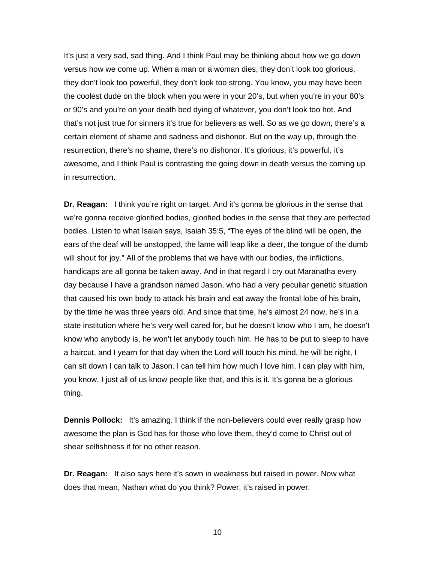It's just a very sad, sad thing. And I think Paul may be thinking about how we go down versus how we come up. When a man or a woman dies, they don't look too glorious, they don't look too powerful, they don't look too strong. You know, you may have been the coolest dude on the block when you were in your 20's, but when you're in your 80's or 90's and you're on your death bed dying of whatever, you don't look too hot. And that's not just true for sinners it's true for believers as well. So as we go down, there's a certain element of shame and sadness and dishonor. But on the way up, through the resurrection, there's no shame, there's no dishonor. It's glorious, it's powerful, it's awesome, and I think Paul is contrasting the going down in death versus the coming up in resurrection.

**Dr. Reagan:** I think you're right on target. And it's gonna be glorious in the sense that we're gonna receive glorified bodies, glorified bodies in the sense that they are perfected bodies. Listen to what Isaiah says, Isaiah 35:5, "The eyes of the blind will be open, the ears of the deaf will be unstopped, the lame will leap like a deer, the tongue of the dumb will shout for joy." All of the problems that we have with our bodies, the inflictions, handicaps are all gonna be taken away. And in that regard I cry out Maranatha every day because I have a grandson named Jason, who had a very peculiar genetic situation that caused his own body to attack his brain and eat away the frontal lobe of his brain, by the time he was three years old. And since that time, he's almost 24 now, he's in a state institution where he's very well cared for, but he doesn't know who I am, he doesn't know who anybody is, he won't let anybody touch him. He has to be put to sleep to have a haircut, and I yearn for that day when the Lord will touch his mind, he will be right, I can sit down I can talk to Jason. I can tell him how much I love him, I can play with him, you know, I just all of us know people like that, and this is it. It's gonna be a glorious thing.

**Dennis Pollock:** It's amazing. I think if the non-believers could ever really grasp how awesome the plan is God has for those who love them, they'd come to Christ out of shear selfishness if for no other reason.

**Dr. Reagan:** It also says here it's sown in weakness but raised in power. Now what does that mean, Nathan what do you think? Power, it's raised in power.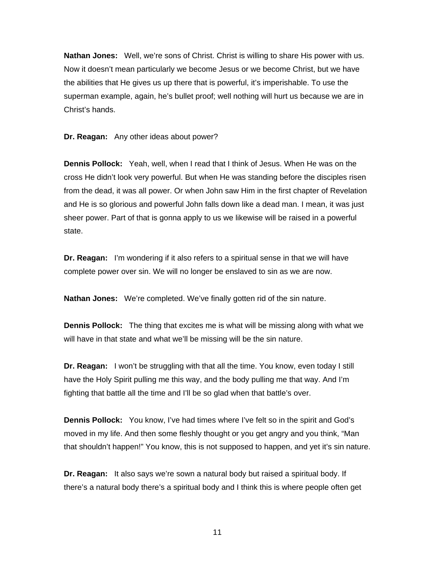**Nathan Jones:** Well, we're sons of Christ. Christ is willing to share His power with us. Now it doesn't mean particularly we become Jesus or we become Christ, but we have the abilities that He gives us up there that is powerful, it's imperishable. To use the superman example, again, he's bullet proof; well nothing will hurt us because we are in Christ's hands.

**Dr. Reagan:** Any other ideas about power?

**Dennis Pollock:** Yeah, well, when I read that I think of Jesus. When He was on the cross He didn't look very powerful. But when He was standing before the disciples risen from the dead, it was all power. Or when John saw Him in the first chapter of Revelation and He is so glorious and powerful John falls down like a dead man. I mean, it was just sheer power. Part of that is gonna apply to us we likewise will be raised in a powerful state.

**Dr. Reagan:** I'm wondering if it also refers to a spiritual sense in that we will have complete power over sin. We will no longer be enslaved to sin as we are now.

**Nathan Jones:** We're completed. We've finally gotten rid of the sin nature.

**Dennis Pollock:** The thing that excites me is what will be missing along with what we will have in that state and what we'll be missing will be the sin nature.

**Dr. Reagan:** I won't be struggling with that all the time. You know, even today I still have the Holy Spirit pulling me this way, and the body pulling me that way. And I'm fighting that battle all the time and I'll be so glad when that battle's over.

**Dennis Pollock:** You know, I've had times where I've felt so in the spirit and God's moved in my life. And then some fleshly thought or you get angry and you think, "Man that shouldn't happen!" You know, this is not supposed to happen, and yet it's sin nature.

**Dr. Reagan:** It also says we're sown a natural body but raised a spiritual body. If there's a natural body there's a spiritual body and I think this is where people often get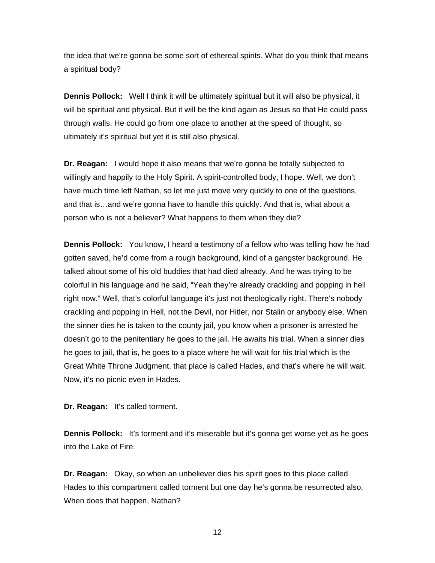the idea that we're gonna be some sort of ethereal spirits. What do you think that means a spiritual body?

**Dennis Pollock:** Well I think it will be ultimately spiritual but it will also be physical, it will be spiritual and physical. But it will be the kind again as Jesus so that He could pass through walls. He could go from one place to another at the speed of thought, so ultimately it's spiritual but yet it is still also physical.

**Dr. Reagan:** I would hope it also means that we're gonna be totally subjected to willingly and happily to the Holy Spirit. A spirit-controlled body, I hope. Well, we don't have much time left Nathan, so let me just move very quickly to one of the questions, and that is…and we're gonna have to handle this quickly. And that is, what about a person who is not a believer? What happens to them when they die?

**Dennis Pollock:** You know, I heard a testimony of a fellow who was telling how he had gotten saved, he'd come from a rough background, kind of a gangster background. He talked about some of his old buddies that had died already. And he was trying to be colorful in his language and he said, "Yeah they're already crackling and popping in hell right now." Well, that's colorful language it's just not theologically right. There's nobody crackling and popping in Hell, not the Devil, nor Hitler, nor Stalin or anybody else. When the sinner dies he is taken to the county jail, you know when a prisoner is arrested he doesn't go to the penitentiary he goes to the jail. He awaits his trial. When a sinner dies he goes to jail, that is, he goes to a place where he will wait for his trial which is the Great White Throne Judgment, that place is called Hades, and that's where he will wait. Now, it's no picnic even in Hades.

**Dr. Reagan:** It's called torment.

**Dennis Pollock:** It's torment and it's miserable but it's gonna get worse yet as he goes into the Lake of Fire.

**Dr. Reagan:** Okay, so when an unbeliever dies his spirit goes to this place called Hades to this compartment called torment but one day he's gonna be resurrected also. When does that happen, Nathan?